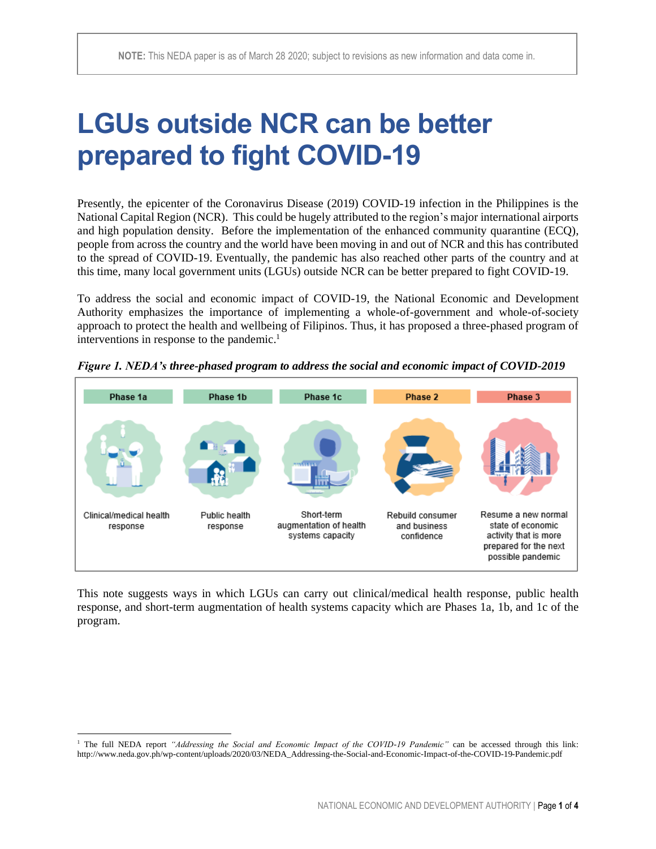# **LGUs outside NCR can be better prepared to fight COVID-19**

Presently, the epicenter of the Coronavirus Disease (2019) COVID-19 infection in the Philippines is the National Capital Region (NCR). This could be hugely attributed to the region's major international airports and high population density. Before the implementation of the enhanced community quarantine (ECQ), people from across the country and the world have been moving in and out of NCR and this has contributed to the spread of COVID-19. Eventually, the pandemic has also reached other parts of the country and at this time, many local government units (LGUs) outside NCR can be better prepared to fight COVID-19.

To address the social and economic impact of COVID-19, the National Economic and Development Authority emphasizes the importance of implementing a whole-of-government and whole-of-society approach to protect the health and wellbeing of Filipinos. Thus, it has proposed a three-phased program of interventions in response to the pandemic.<sup>1</sup>



*Figure 1. NEDA's three-phased program to address the social and economic impact of COVID-2019*

This note suggests ways in which LGUs can carry out clinical/medical health response, public health response, and short-term augmentation of health systems capacity which are Phases 1a, 1b, and 1c of the program.

<sup>&</sup>lt;sup>1</sup> The full NEDA report *"Addressing the Social and Economic Impact of the COVID<sup>-19</sup> Pandemic"* can be accessed through this link: [http://www.neda.gov.ph/wp-content/uploads/2020/03/NEDA\\_Addressing-the-Social-and-Economic-Impact-of-the-COVID-19-Pandemic.pdf](http://www.neda.gov.ph/wp-content/uploads/2020/03/NEDA_Addressing-the-Social-and-Economic-Impact-of-the-COVID-19-Pandemic.pdf)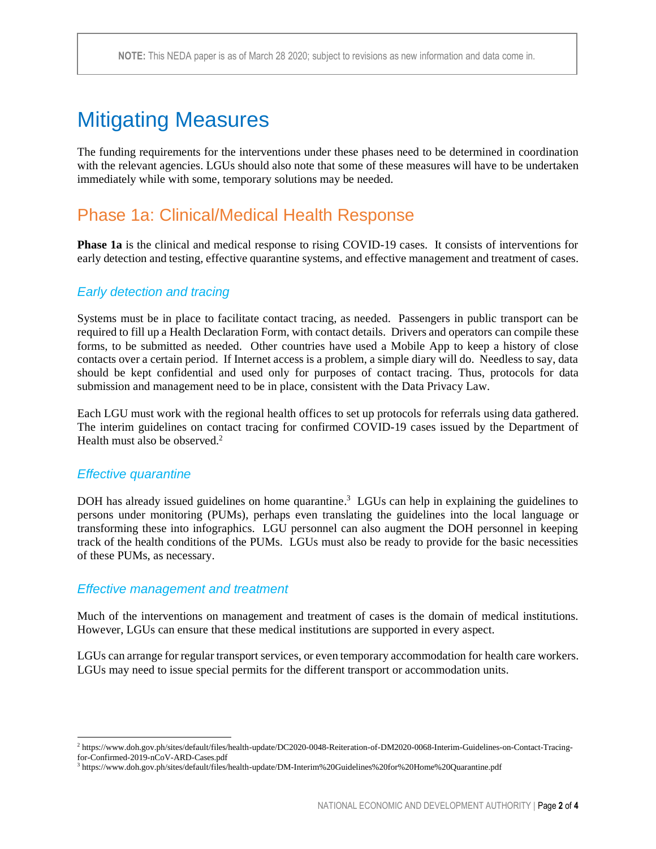## Mitigating Measures

The funding requirements for the interventions under these phases need to be determined in coordination with the relevant agencies. LGUs should also note that some of these measures will have to be undertaken immediately while with some, temporary solutions may be needed.

## Phase 1a: Clinical/Medical Health Response

**Phase 1a** is the clinical and medical response to rising COVID-19 cases. It consists of interventions for early detection and testing, effective quarantine systems, and effective management and treatment of cases.

#### *Early detection and tracing*

Systems must be in place to facilitate contact tracing, as needed. Passengers in public transport can be required to fill up a Health Declaration Form, with contact details. Drivers and operators can compile these forms, to be submitted as needed. Other countries have used a Mobile App to keep a history of close contacts over a certain period. If Internet access is a problem, a simple diary will do. Needless to say, data should be kept confidential and used only for purposes of contact tracing. Thus, protocols for data submission and management need to be in place, consistent with the Data Privacy Law.

Each LGU must work with the regional health offices to set up protocols for referrals using data gathered. The interim guidelines on contact tracing for confirmed COVID-19 cases issued by the Department of Health must also be observed.<sup>2</sup>

#### *Effective quarantine*

DOH has already issued guidelines on home quarantine.<sup>3</sup> LGUs can help in explaining the guidelines to persons under monitoring (PUMs), perhaps even translating the guidelines into the local language or transforming these into infographics. LGU personnel can also augment the DOH personnel in keeping track of the health conditions of the PUMs. LGUs must also be ready to provide for the basic necessities of these PUMs, as necessary.

#### *Effective management and treatment*

Much of the interventions on management and treatment of cases is the domain of medical institutions. However, LGUs can ensure that these medical institutions are supported in every aspect.

LGUs can arrange for regular transport services, or even temporary accommodation for health care workers. LGUs may need to issue special permits for the different transport or accommodation units.

<sup>2</sup> [https://www.doh.gov.ph/sites/default/files/health-update/DC2020-0048-Reiteration-of-DM2020-0068-Interim-Guidelines-on-Contact-Tracing](https://www.doh.gov.ph/sites/default/files/health-update/DC2020-0048-Reiteration-of-DM2020-0068-Interim-Guidelines-on-Contact-Tracing-for-Confirmed-2019-nCoV-ARD-Cases.pdf)[for-Confirmed-2019-nCoV-ARD-Cases.pdf](https://www.doh.gov.ph/sites/default/files/health-update/DC2020-0048-Reiteration-of-DM2020-0068-Interim-Guidelines-on-Contact-Tracing-for-Confirmed-2019-nCoV-ARD-Cases.pdf)

<sup>3</sup> https://www.doh.gov.ph/sites/default/files/health-update/DM-Interim%20Guidelines%20for%20Home%20Quarantine.pdf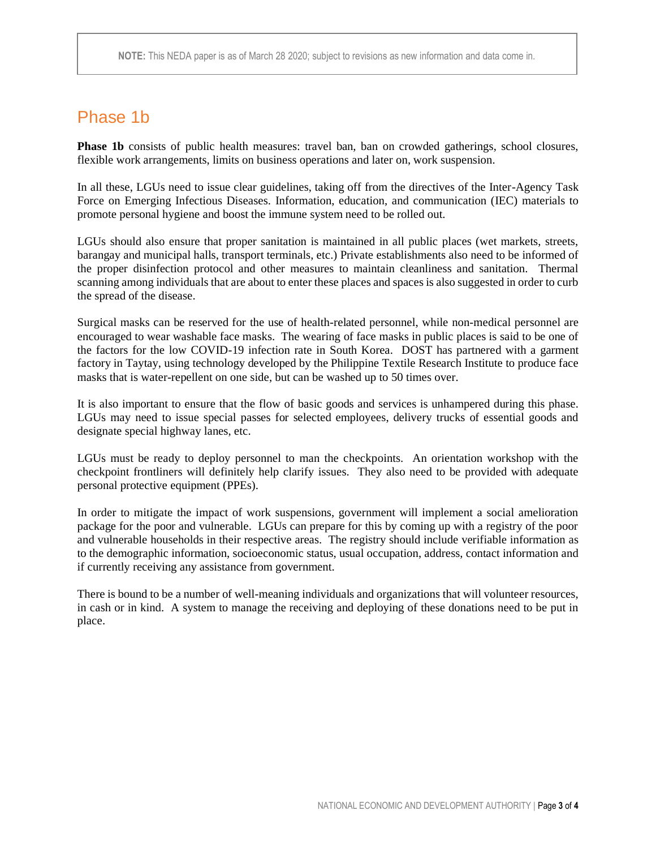## Phase 1b

**Phase 1b** consists of public health measures: travel ban, ban on crowded gatherings, school closures, flexible work arrangements, limits on business operations and later on, work suspension.

In all these, LGUs need to issue clear guidelines, taking off from the directives of the Inter-Agency Task Force on Emerging Infectious Diseases. Information, education, and communication (IEC) materials to promote personal hygiene and boost the immune system need to be rolled out.

LGUs should also ensure that proper sanitation is maintained in all public places (wet markets, streets, barangay and municipal halls, transport terminals, etc.) Private establishments also need to be informed of the proper disinfection protocol and other measures to maintain cleanliness and sanitation. Thermal scanning among individuals that are about to enter these places and spaces is also suggested in order to curb the spread of the disease.

Surgical masks can be reserved for the use of health-related personnel, while non-medical personnel are encouraged to wear washable face masks. The wearing of face masks in public places is said to be one of the factors for the low COVID-19 infection rate in South Korea. DOST has partnered with a garment factory in Taytay, using technology developed by the Philippine Textile Research Institute to produce face masks that is water-repellent on one side, but can be washed up to 50 times over.

It is also important to ensure that the flow of basic goods and services is unhampered during this phase. LGUs may need to issue special passes for selected employees, delivery trucks of essential goods and designate special highway lanes, etc.

LGUs must be ready to deploy personnel to man the checkpoints. An orientation workshop with the checkpoint frontliners will definitely help clarify issues. They also need to be provided with adequate personal protective equipment (PPEs).

In order to mitigate the impact of work suspensions, government will implement a social amelioration package for the poor and vulnerable. LGUs can prepare for this by coming up with a registry of the poor and vulnerable households in their respective areas. The registry should include verifiable information as to the demographic information, socioeconomic status, usual occupation, address, contact information and if currently receiving any assistance from government.

There is bound to be a number of well-meaning individuals and organizations that will volunteer resources, in cash or in kind. A system to manage the receiving and deploying of these donations need to be put in place.